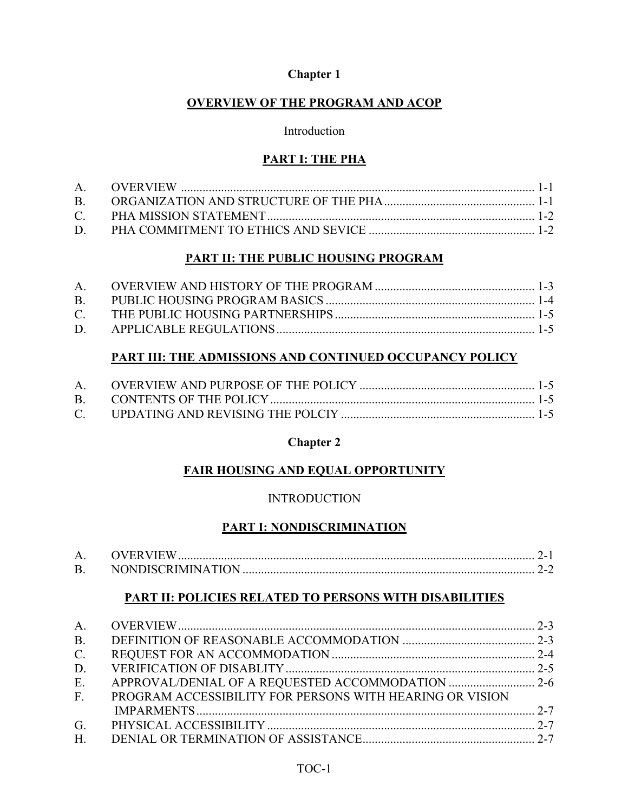# **OVERVIEW OF THE PROGRAM AND ACOP**

#### Introduction

# **PART I: THE PHA**

# **PART II: THE PUBLIC HOUSING PROGRAM**

# **PART III: THE ADMISSIONS AND CONTINUED OCCUPANCY POLICY**

# **Chapter 2**

# **FAIR HOUSING AND EQUAL OPPORTUNITY**

# **INTRODUCTION**

# **PART I: NONDISCRIMINATION**

|    | <b>OVERVIEW</b>          |  |
|----|--------------------------|--|
| B. | <b>NONDISCRIMINATION</b> |  |

# **PART II: POLICIES RELATED TO PERSONS WITH DISABILITIES**

| <b>B.</b>    |                                                          |  |
|--------------|----------------------------------------------------------|--|
| $C_{\cdot}$  |                                                          |  |
| D.           |                                                          |  |
| E.           |                                                          |  |
| $F_{\rm{2}}$ | PROGRAM ACCESSIBILITY FOR PERSONS WITH HEARING OR VISION |  |
|              |                                                          |  |
| G.           |                                                          |  |
| $H_{\cdot}$  |                                                          |  |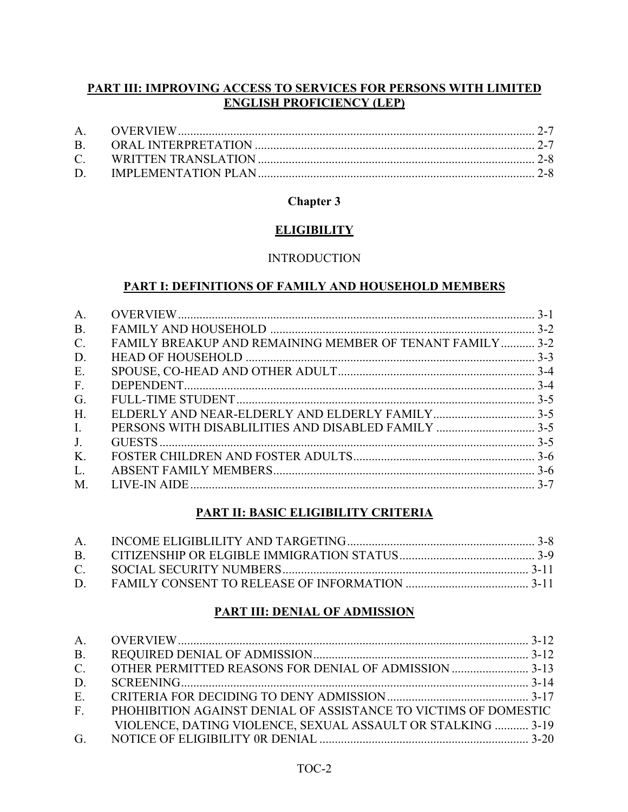# **PART III: IMPROVING ACCESS TO SERVICES FOR PERSONS WITH LIMITED ENGLISH PROFICIENCY (LEP)**

# **Chapter 3**

# **ELIGIBILITY**

### INTRODUCTION

### **PART I: DEFINITIONS OF FAMILY AND HOUSEHOLD MEMBERS**

| A.                                                                                 |  |
|------------------------------------------------------------------------------------|--|
| <b>B.</b>                                                                          |  |
| $\mathcal{C}$ .<br><b>FAMILY BREAKUP AND REMAINING MEMBER OF TENANT FAMILY 3-2</b> |  |
| D.                                                                                 |  |
| E.                                                                                 |  |
| F <sub>1</sub>                                                                     |  |
| G.                                                                                 |  |
| H.                                                                                 |  |
| PERSONS WITH DISABLILITIES AND DISABLED FAMILY  3-5<br>$\mathbf{I}$ .              |  |
| J <sub>1</sub>                                                                     |  |
| K.                                                                                 |  |
| L.                                                                                 |  |
| M.                                                                                 |  |

# **PART II: BASIC ELIGIBILITY CRITERIA**

# **PART III: DENIAL OF ADMISSION**

| B <sub>1</sub> |                                                                    |  |
|----------------|--------------------------------------------------------------------|--|
|                |                                                                    |  |
| D.             |                                                                    |  |
| E.             |                                                                    |  |
|                | F. PHOHIBITION AGAINST DENIAL OF ASSISTANCE TO VICTIMS OF DOMESTIC |  |
|                | VIOLENCE, DATING VIOLENCE, SEXUAL ASSAULT OR STALKING  3-19        |  |
|                |                                                                    |  |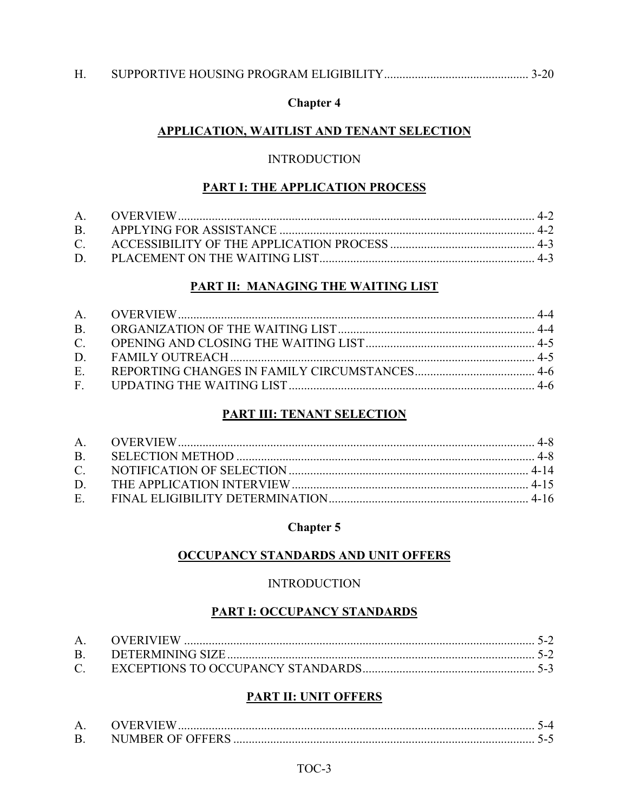### APPLICATION, WAITLIST AND TENANT SELECTION

#### **INTRODUCTION**

#### **PART I: THE APPLICATION PROCESS**

#### PART II: MANAGING THE WAITING LIST

# **PART III: TENANT SELECTION**

### **Chapter 5**

### **OCCUPANCY STANDARDS AND UNIT OFFERS**

#### **INTRODUCTION**

#### **PART I: OCCUPANCY STANDARDS**

#### **PART II: UNIT OFFERS**

| A. OVERVIEW |  |
|-------------|--|
|             |  |

#### TOC-3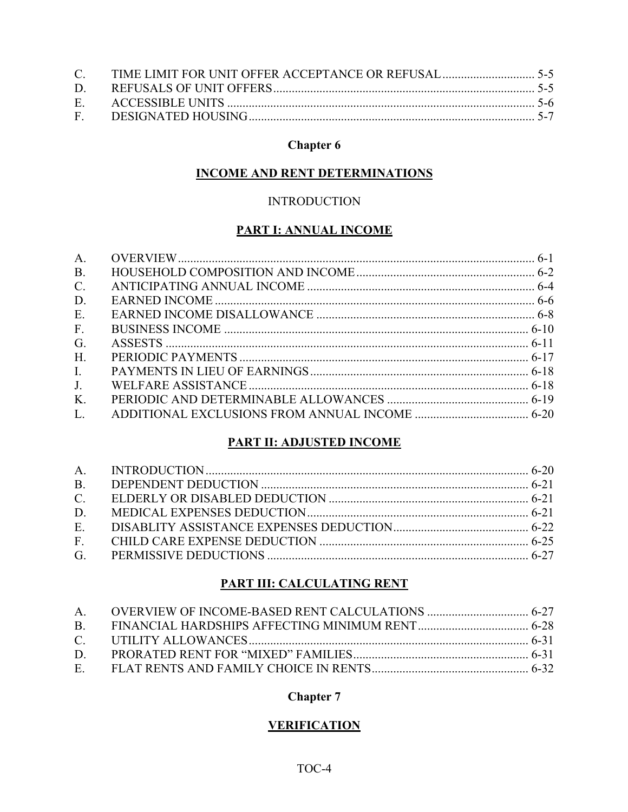### **INCOME AND RENT DETERMINATIONS**

#### **INTRODUCTION**

# **PART I: ANNUAL INCOME**

| A <sub>1</sub>  |  |
|-----------------|--|
| <b>B.</b>       |  |
| $\mathcal{C}$ . |  |
| D.              |  |
| E.              |  |
| F <sub>1</sub>  |  |
| G <sub>r</sub>  |  |
| H.              |  |
| $\mathbf{L}$    |  |
| J <sub>1</sub>  |  |
| K.              |  |
| L.              |  |

### **PART II: ADJUSTED INCOME**

| D. |  |
|----|--|
|    |  |
|    |  |
|    |  |

### **PART III: CALCULATING RENT**

### **Chapter 7**

# **VERIFICATION**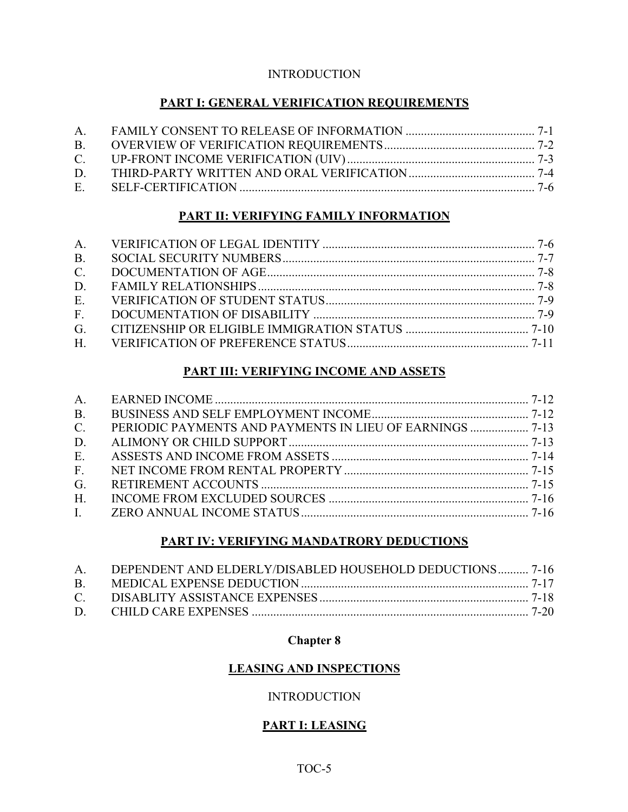### **INTRODUCTION**

# **PART I: GENERAL VERIFICATION REQUIREMENTS**

# **PART II: VERIFYING FAMILY INFORMATION**

| B <sub>1</sub> |  |
|----------------|--|
| $C_{\cdot}$    |  |
|                |  |
|                |  |
|                |  |
|                |  |
|                |  |

# **PART III: VERIFYING INCOME AND ASSETS**

| B <sub>r</sub> |  |
|----------------|--|
| $C_{\cdot}$    |  |
| D.             |  |
| E.             |  |
| $F_{\cdot}$    |  |
| G <sub>r</sub> |  |
| H <sub>1</sub> |  |
|                |  |

# **PART IV: VERIFYING MANDATRORY DEDUCTIONS**

|           | A. DEPENDENT AND ELDERLY/DISABLED HOUSEHOLD DEDUCTIONS 7-16 |  |
|-----------|-------------------------------------------------------------|--|
| <b>B.</b> |                                                             |  |
|           |                                                             |  |
|           |                                                             |  |

#### **Chapter 8**

# **LEASING AND INSPECTIONS**

# INTRODUCTION

# **PART I: LEASING**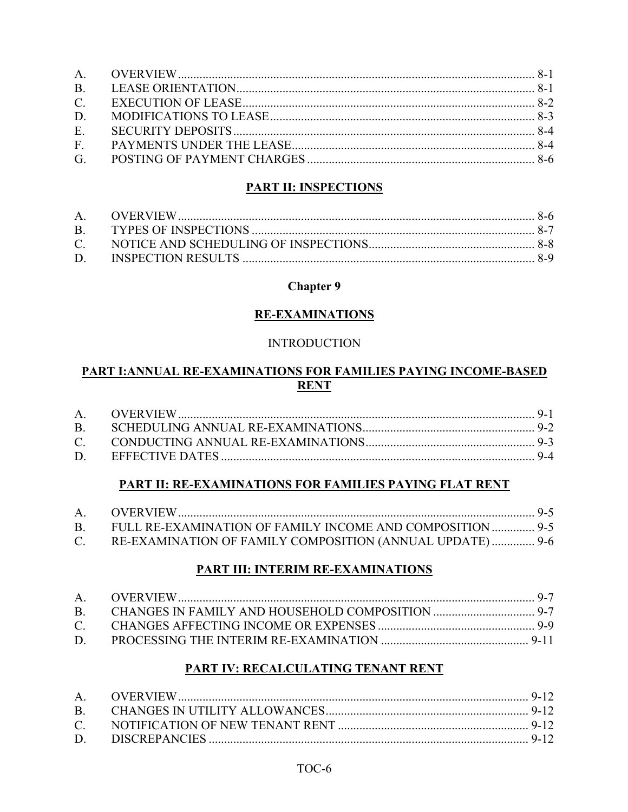# **PART II: INSPECTIONS**

# **Chapter 9**

# **RE-EXAMINATIONS**

# **INTRODUCTION**

# PART I: ANNUAL RE-EXAMINATIONS FOR FAMILIES PAYING INCOME-BASED **RENT**

# **PART II: RE-EXAMINATIONS FOR FAMILIES PAYING FLAT RENT**

| B. FULL RE-EXAMINATION OF FAMILY INCOME AND COMPOSITION  9-5 |  |
|--------------------------------------------------------------|--|
| C. RE-EXAMINATION OF FAMILY COMPOSITION (ANNUAL UPDATE) 9-6  |  |

# PART III: INTERIM RE-EXAMINATIONS

# PART IV: RECALCULATING TENANT RENT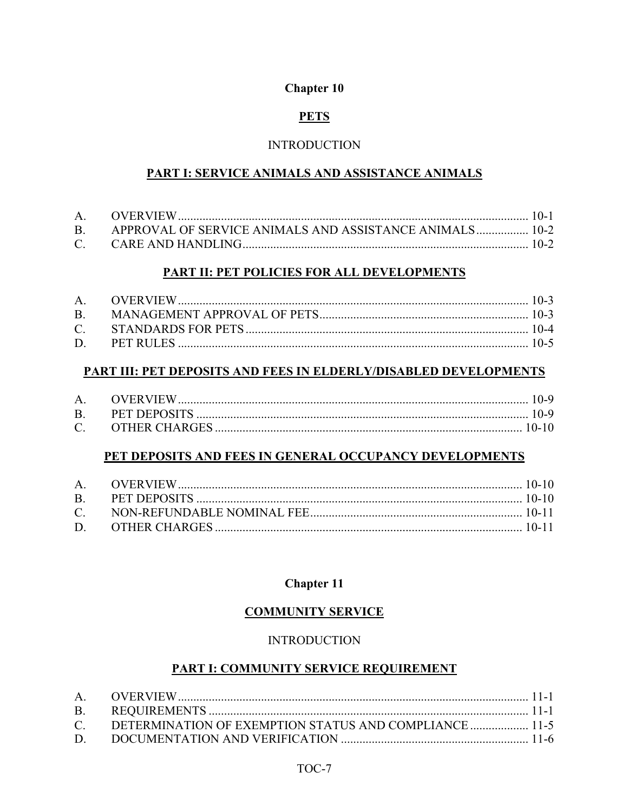# **PETS**

### **INTRODUCTION**

### PART I: SERVICE ANIMALS AND ASSISTANCE ANIMALS

| B. APPROVAL OF SERVICE ANIMALS AND ASSISTANCE ANIMALS 10-2 |  |
|------------------------------------------------------------|--|
|                                                            |  |

#### PART II: PET POLICIES FOR ALL DEVELOPMENTS

#### PART III: PET DEPOSITS AND FEES IN ELDERLY/DISABLED DEVELOPMENTS

#### PET DEPOSITS AND FEES IN GENERAL OCCUPANCY DEVELOPMENTS

# **Chapter 11**

# **COMMUNITY SERVICE**

#### **INTRODUCTION**

#### **PART I: COMMUNITY SERVICE REQUIREMENT**

| C. DETERMINATION OF EXEMPTION STATUS AND COMPLIANCE  11-5 |  |
|-----------------------------------------------------------|--|
|                                                           |  |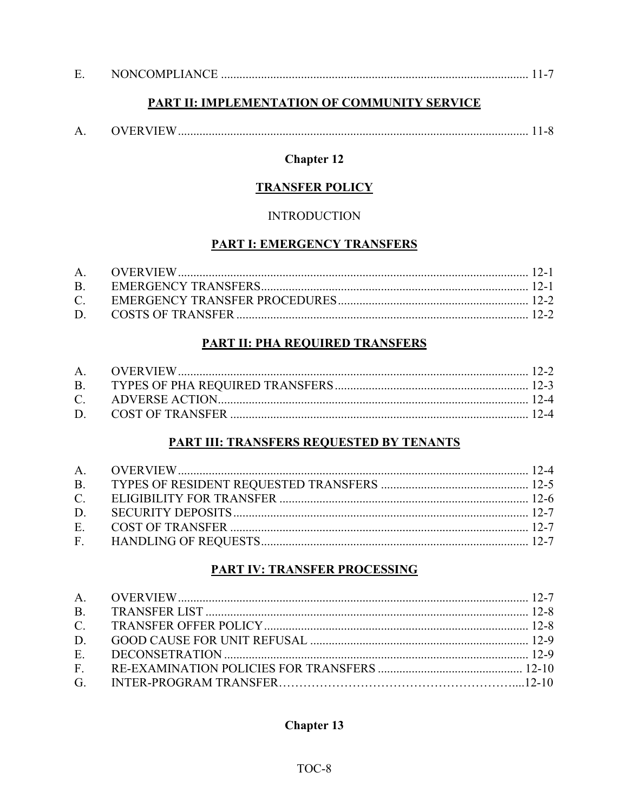| <b>NONCOMPLIANCE</b><br>، ت |  |  |  |  |
|-----------------------------|--|--|--|--|
|-----------------------------|--|--|--|--|

### PART II: IMPLEMENTATION OF COMMUNITY SERVICE

|  | <b>OVERVIEW</b> |  |  |  |
|--|-----------------|--|--|--|
|--|-----------------|--|--|--|

# **Chapter 12**

#### **TRANSFER POLICY**

#### **INTRODUCTION**

# **PART I: EMERGENCY TRANSFERS**

# **PART II: PHA REQUIRED TRANSFERS**

# **PART III: TRANSFERS REQUESTED BY TENANTS**

# **PART IV: TRANSFER PROCESSING**

# **Chapter 13**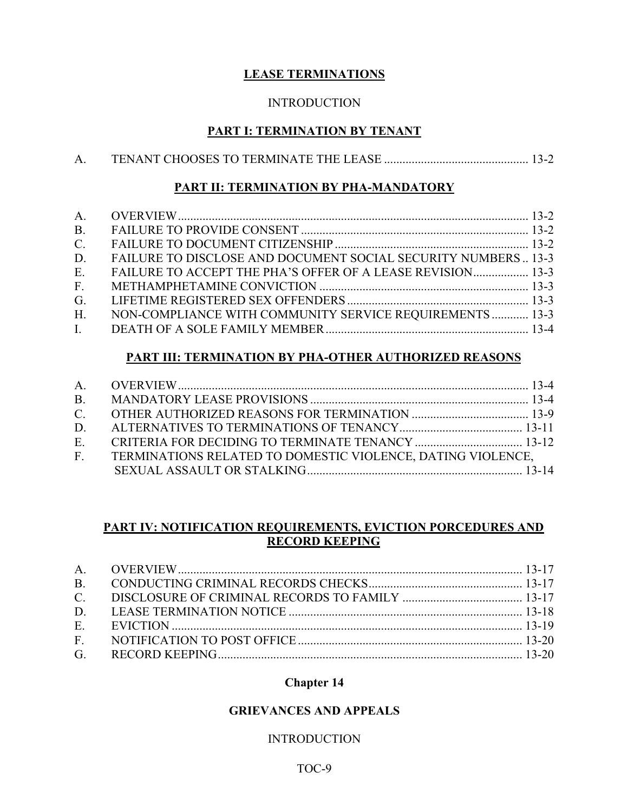# **LEASE TERMINATIONS**

### **INTRODUCTION**

# **PART I: TERMINATION BY TENANT**

### **PART II: TERMINATION BY PHA-MANDATORY**

| B <sub>1</sub> |                                                               |  |
|----------------|---------------------------------------------------------------|--|
| $C_{\cdot}$    |                                                               |  |
| D.             | FAILURE TO DISCLOSE AND DOCUMENT SOCIAL SECURITY NUMBERS 13-3 |  |
| E.             | FAILURE TO ACCEPT THE PHA'S OFFER OF A LEASE REVISION 13-3    |  |
| $F_{\cdot}$    |                                                               |  |
| G <sub>r</sub> |                                                               |  |
| $H_{\cdot}$    | NON-COMPLIANCE WITH COMMUNITY SERVICE REQUIREMENTS  13-3      |  |
|                |                                                               |  |

# **PART III: TERMINATION BY PHA-OTHER AUTHORIZED REASONS**

| E. CRITERIA FOR DECIDING TO TERMINATE TENANCY  13-12           |  |
|----------------------------------------------------------------|--|
| F. TERMINATIONS RELATED TO DOMESTIC VIOLENCE, DATING VIOLENCE, |  |
|                                                                |  |

### **PART IV: NOTIFICATION REQUIREMENTS, EVICTION PORCEDURES AND RECORD KEEPING**

# **Chapter 14**

### **GRIEVANCES AND APPEALS**

# INTRODUCTION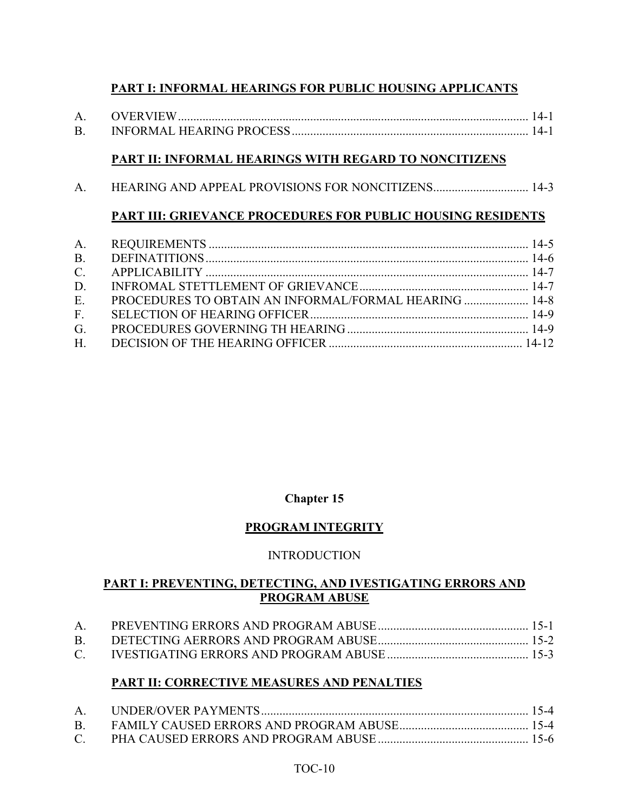# **PART I: INFORMAL HEARINGS FOR PUBLIC HOUSING APPLICANTS**

| <b>OVERVIEW</b>          |  |
|--------------------------|--|
| INFORMAL HEARING PROCESS |  |

### **PART II: INFORMAL HEARINGS WITH REGARD TO NONCITIZENS**

A. HEARING AND APPEAL PROVISIONS FOR NONCITIZENS............................... 14-3

# **PART III: GRIEVANCE PROCEDURES FOR PUBLIC HOUSING RESIDENTS**

|                | E. PROCEDURES TO OBTAIN AN INFORMAL/FORMAL HEARING  14-8 |  |
|----------------|----------------------------------------------------------|--|
|                |                                                          |  |
| G <sub>r</sub> |                                                          |  |
|                |                                                          |  |

#### **Chapter 15**

#### **PROGRAM INTEGRITY**

#### INTRODUCTION

#### **PART I: PREVENTING, DETECTING, AND IVESTIGATING ERRORS AND PROGRAM ABUSE**

#### **PART II: CORRECTIVE MEASURES AND PENALTIES**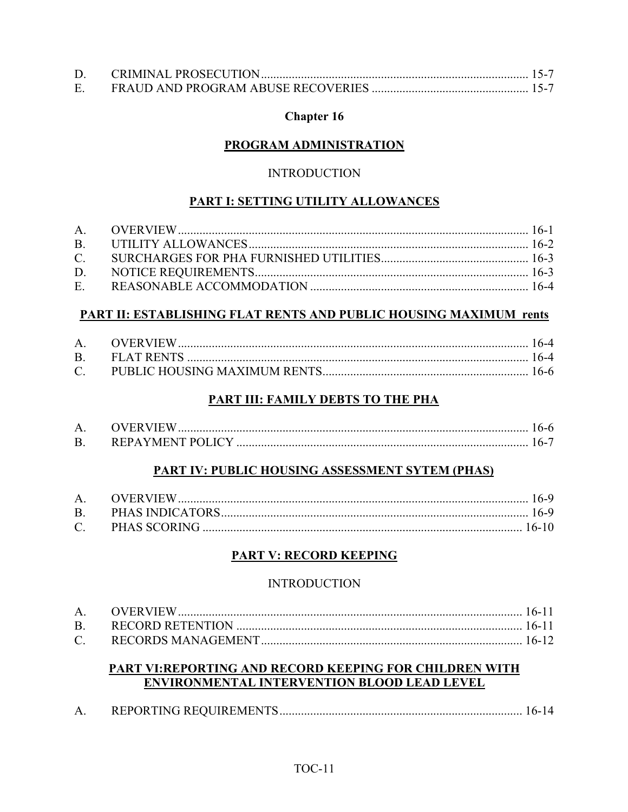### **PROGRAM ADMINISTRATION**

#### **INTRODUCTION**

#### PART I: SETTING UTILITY ALLOWANCES

#### **PART II: ESTABLISHING FLAT RENTS AND PUBLIC HOUSING MAXIMUM rents**

#### PART III: FAMILY DEBTS TO THE PHA

| <b>OVERVIEW</b>  |  |
|------------------|--|
| REPAYMENT POLICY |  |

#### PART IV: PUBLIC HOUSING ASSESSMENT SYTEM (PHAS)

#### **PART V: RECORD KEEPING**

#### **INTRODUCTION**

# **PART VI:REPORTING AND RECORD KEEPING FOR CHILDREN WITH** ENVIRONMENTAL INTERVENTION BLOOD LEAD LEVEL

|--|--|--|--|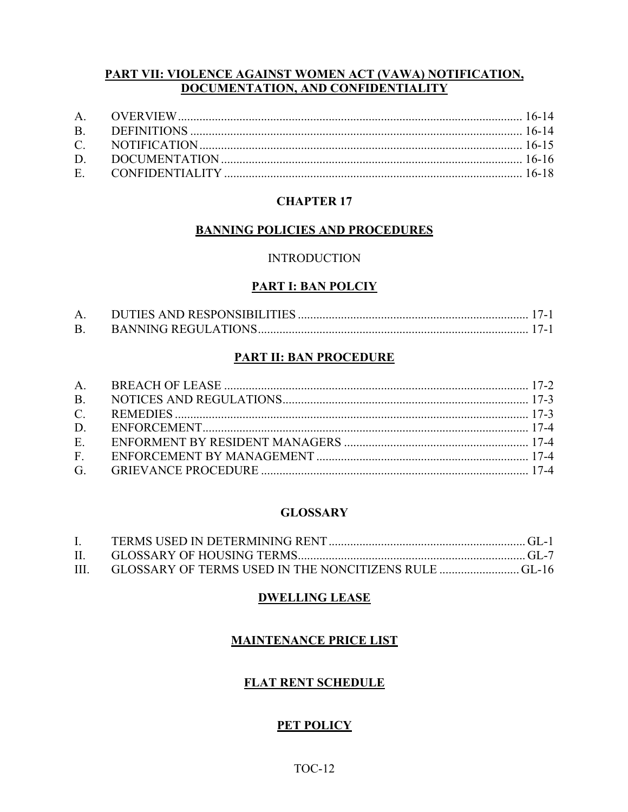#### PART VII: VIOLENCE AGAINST WOMEN ACT (VAWA) NOTIFICATION, DOCUMENTATION, AND CONFIDENTIALITY

# **CHAPTER 17**

#### **BANNING POLICIES AND PROCEDURES**

#### **INTRODUCTION**

#### **PART I: BAN POLCIY**

| <b>B.</b> |  |  |
|-----------|--|--|

#### **PART II: BAN PROCEDURE**

#### **GLOSSARY**

| $\mathbf{I}$ . |  |
|----------------|--|
|                |  |
|                |  |

#### **DWELLING LEASE**

#### **MAINTENANCE PRICE LIST**

#### **FLAT RENT SCHEDULE**

# **PET POLICY**

### $TOC-12$